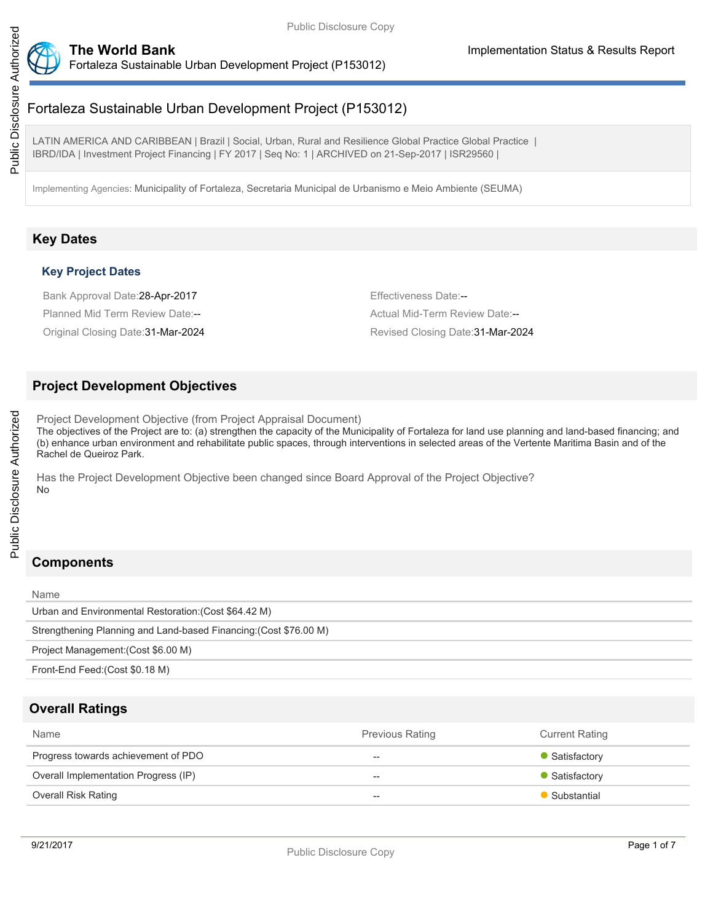

Fortaleza Sustainable Urban Development Project (P153012)

LATIN AMERICA AND CARIBBEAN | Brazil | Social, Urban, Rural and Resilience Global Practice Global Practice | IBRD/IDA | Investment Project Financing | FY 2017 | Seq No: 1 | ARCHIVED on 21-Sep-2017 | ISR29560 |

Implementing Agencies: Municipality of Fortaleza, Secretaria Municipal de Urbanismo e Meio Ambiente (SEUMA)

# **Key Dates**

## **Key Project Dates**

Bank Approval Date: 28-Apr-2017 **Effectiveness Date:**--

Planned Mid Term Review Date:-- <br>
Actual Mid-Term Review Date:--

Original Closing Date:31-Mar-2024 Revised Closing Date:31-Mar-2024

## **Project Development Objectives**

Project Development Objective (from Project Appraisal Document) The objectives of the Project are to: (a) strengthen the capacity of the Municipality of Fortaleza for land use planning and land-based financing; and (b) enhance urban environment and rehabilitate public spaces, through interventions in selected areas of the Vertente Maritima Basin and of the Rachel de Queiroz Park.

Has the Project Development Objective been changed since Board Approval of the Project Objective? No

# **Components**

| Name                                                              |
|-------------------------------------------------------------------|
| Urban and Environmental Restoration: (Cost \$64.42 M)             |
| Strengthening Planning and Land-based Financing: (Cost \$76.00 M) |
| Project Management: (Cost \$6.00 M)                               |
| Front-End Feed: (Cost \$0.18 M)                                   |
|                                                                   |

# **Overall Ratings**

| Name                                 | <b>Previous Rating</b> | <b>Current Rating</b> |
|--------------------------------------|------------------------|-----------------------|
| Progress towards achievement of PDO  | $- -$                  | • Satisfactory        |
| Overall Implementation Progress (IP) | $\hspace{0.05cm}$      | • Satisfactory        |
| Overall Risk Rating                  | $\hspace{0.05cm}$      | Substantial           |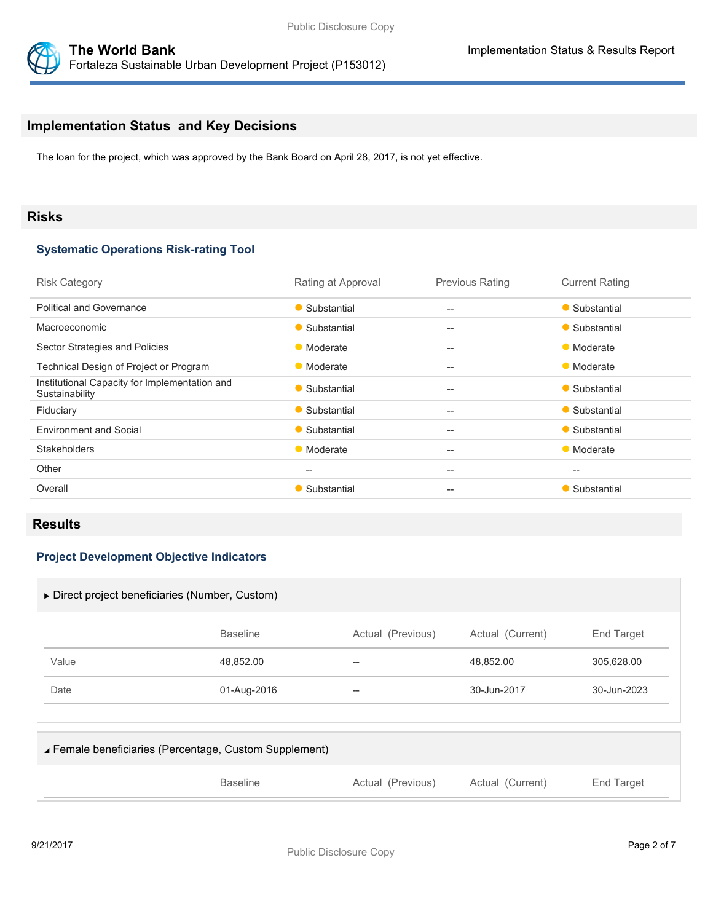

## **Implementation Status and Key Decisions**

The loan for the project, which was approved by the Bank Board on April 28, 2017, is not yet effective.

## **Risks**

#### **Systematic Operations Risk-rating Tool**

| <b>Risk Category</b>                                            | Rating at Approval | <b>Previous Rating</b>                              | <b>Current Rating</b> |
|-----------------------------------------------------------------|--------------------|-----------------------------------------------------|-----------------------|
| <b>Political and Governance</b>                                 | • Substantial      | $-$                                                 | • Substantial         |
| Macroeconomic                                                   | • Substantial      | $\qquad \qquad -$                                   | • Substantial         |
| Sector Strategies and Policies                                  | • Moderate         | $-$                                                 | • Moderate            |
| Technical Design of Project or Program                          | • Moderate         | $\hspace{0.05cm} -\hspace{0.05cm} -\hspace{0.05cm}$ | • Moderate            |
| Institutional Capacity for Implementation and<br>Sustainability | • Substantial      | $-$                                                 | • Substantial         |
| Fiduciary                                                       | • Substantial      | $-$                                                 | • Substantial         |
| <b>Environment and Social</b>                                   | • Substantial      | $- -$                                               | • Substantial         |
| <b>Stakeholders</b>                                             | • Moderate         | $-$                                                 | • Moderate            |
| Other                                                           | --                 | $- -$                                               | $-$                   |
| Overall                                                         | • Substantial      | $-$                                                 | • Substantial         |

## **Results**

## **Project Development Objective Indicators**

|                                                        | $\triangleright$ Direct project beneficiaries (Number, Custom) |                   |                  |             |
|--------------------------------------------------------|----------------------------------------------------------------|-------------------|------------------|-------------|
|                                                        | <b>Baseline</b>                                                | Actual (Previous) | Actual (Current) | End Target  |
| Value                                                  | 48,852.00                                                      | --                | 48,852.00        | 305,628.00  |
| Date                                                   | 01-Aug-2016                                                    | --                | 30-Jun-2017      | 30-Jun-2023 |
|                                                        |                                                                |                   |                  |             |
| ▲ Female beneficiaries (Percentage, Custom Supplement) |                                                                |                   |                  |             |

| <b>Baseline</b><br>Actual (Previous)<br>Actual (Current) | End Target |
|----------------------------------------------------------|------------|
|----------------------------------------------------------|------------|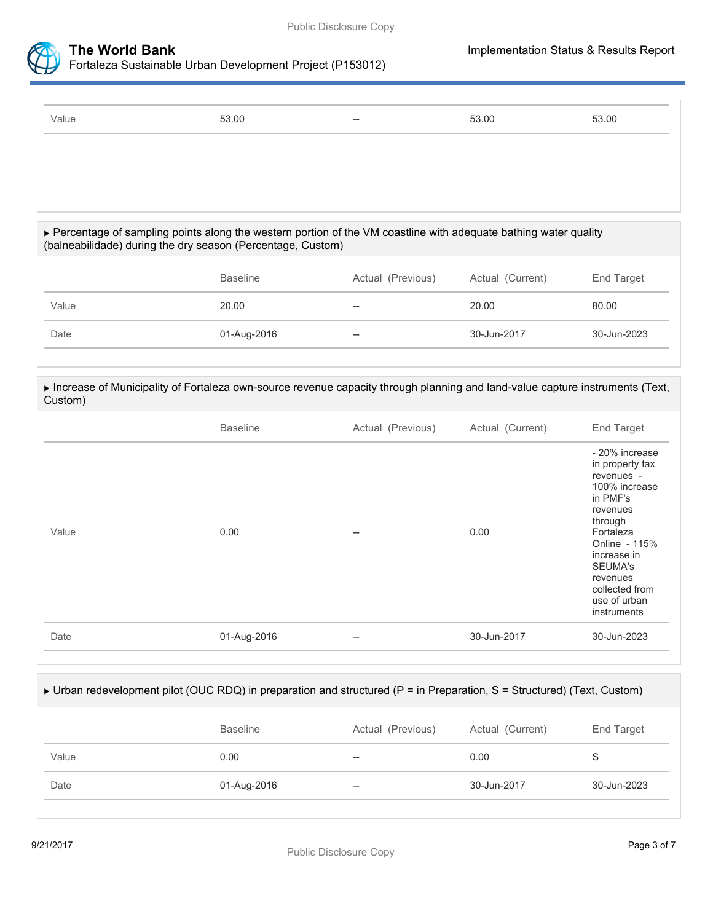



Fortaleza Sustainable Urban Development Project (P153012)

| Value | 53.00 | $\hspace{0.05cm}$ | 53.00 | 53.00 |
|-------|-------|-------------------|-------|-------|
|       |       |                   |       |       |
|       |       |                   |       |       |

#### Percentage of sampling points along the western portion of the VM coastline with adequate bathing water quality (balneabilidade) during the dry season (Percentage, Custom)

|       | <b>Baseline</b> | Actual (Previous) | Actual (Current) | End Target  |
|-------|-----------------|-------------------|------------------|-------------|
| Value | 20.00           | --                | 20.00            | 80.00       |
| Date  | 01-Aug-2016     | $-\!$             | 30-Jun-2017      | 30-Jun-2023 |
|       |                 |                   |                  |             |

Increase of Municipality of Fortaleza own-source revenue capacity through planning and land-value capture instruments (Text,

| <b>Baseline</b><br>Actual (Previous)<br>Actual (Current)<br>0.00<br>0.00<br>Value<br>$- -$<br>01-Aug-2016<br>30-Jun-2017<br>Date<br>$\hspace{0.05cm} -\hspace{0.05cm} -\hspace{0.05cm}$ | Custom) |  |                                                                                                                                                                                                                          |
|-----------------------------------------------------------------------------------------------------------------------------------------------------------------------------------------|---------|--|--------------------------------------------------------------------------------------------------------------------------------------------------------------------------------------------------------------------------|
|                                                                                                                                                                                         |         |  | End Target                                                                                                                                                                                                               |
|                                                                                                                                                                                         |         |  | - 20% increase<br>in property tax<br>revenues -<br>100% increase<br>in PMF's<br>revenues<br>through<br>Fortaleza<br>Online - 115%<br>increase in<br>SEUMA's<br>revenues<br>collected from<br>use of urban<br>instruments |
|                                                                                                                                                                                         |         |  | 30-Jun-2023                                                                                                                                                                                                              |

## ▶ Urban redevelopment pilot (OUC RDQ) in preparation and structured (P = in Preparation, S = Structured) (Text, Custom)

|       | <b>Baseline</b> | Actual (Previous) | Actual (Current) | End Target  |
|-------|-----------------|-------------------|------------------|-------------|
| Value | 0.00            | $- -$             | 0.00             |             |
| Date  | 01-Aug-2016     | $- -$             | 30-Jun-2017      | 30-Jun-2023 |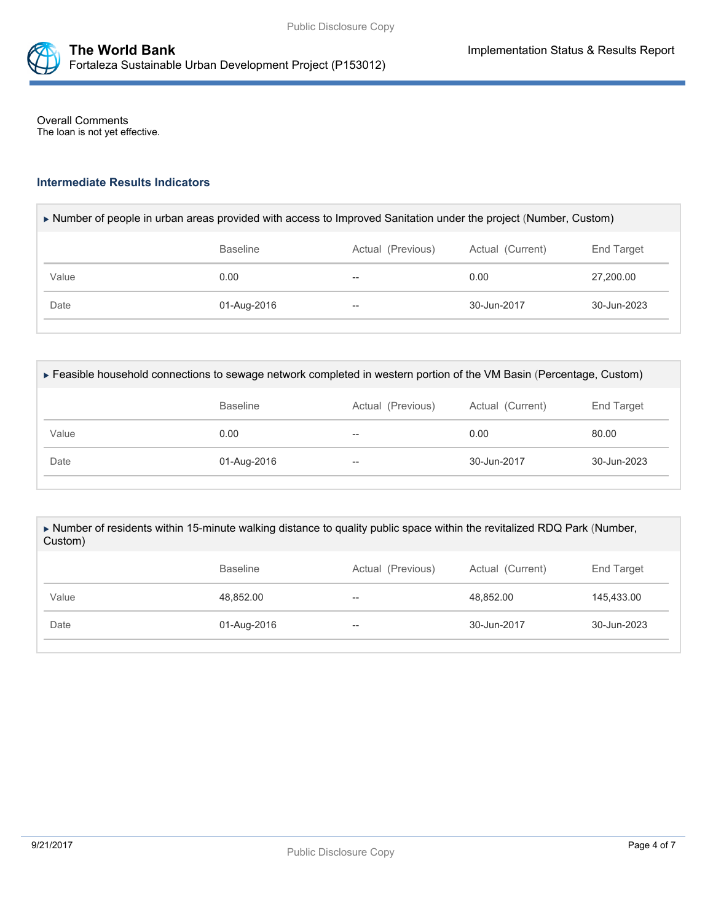

Overall Comments The loan is not yet effective.

## **Intermediate Results Indicators**

| Number of people in urban areas provided with access to Improved Sanitation under the project (Number, Custom) |  |  |
|----------------------------------------------------------------------------------------------------------------|--|--|
|                                                                                                                |  |  |

|       | <b>Baseline</b> | Actual (Previous)        | Actual (Current) | End Target  |
|-------|-----------------|--------------------------|------------------|-------------|
| Value | 0.00            | $\overline{\phantom{m}}$ | 0.00             | 27,200.00   |
| Date  | 01-Aug-2016     | $\overline{\phantom{m}}$ | 30-Jun-2017      | 30-Jun-2023 |

| Feasible household connections to sewage network completed in western portion of the VM Basin (Percentage, Custom) |  |
|--------------------------------------------------------------------------------------------------------------------|--|
|                                                                                                                    |  |

|       | <b>Baseline</b> | Actual (Previous)                     | Actual (Current) | End Target  |
|-------|-----------------|---------------------------------------|------------------|-------------|
| Value | 0.00            | $- -$                                 | 0.00             | 80.00       |
| Date  | 01-Aug-2016     | $\hspace{0.05cm}$ – $\hspace{0.05cm}$ | 30-Jun-2017      | 30-Jun-2023 |

#### Number of residents within 15-minute walking distance to quality public space within the revitalized RDQ Park (Number, Custom)

|       | Actual (Previous)<br><b>Baseline</b> |                          | Actual (Current) | End Target  |  |
|-------|--------------------------------------|--------------------------|------------------|-------------|--|
| Value | 48,852.00                            | $\overline{\phantom{m}}$ | 48,852.00        | 145,433.00  |  |
| Date  | 01-Aug-2016                          | $\overline{\phantom{m}}$ | 30-Jun-2017      | 30-Jun-2023 |  |
|       |                                      |                          |                  |             |  |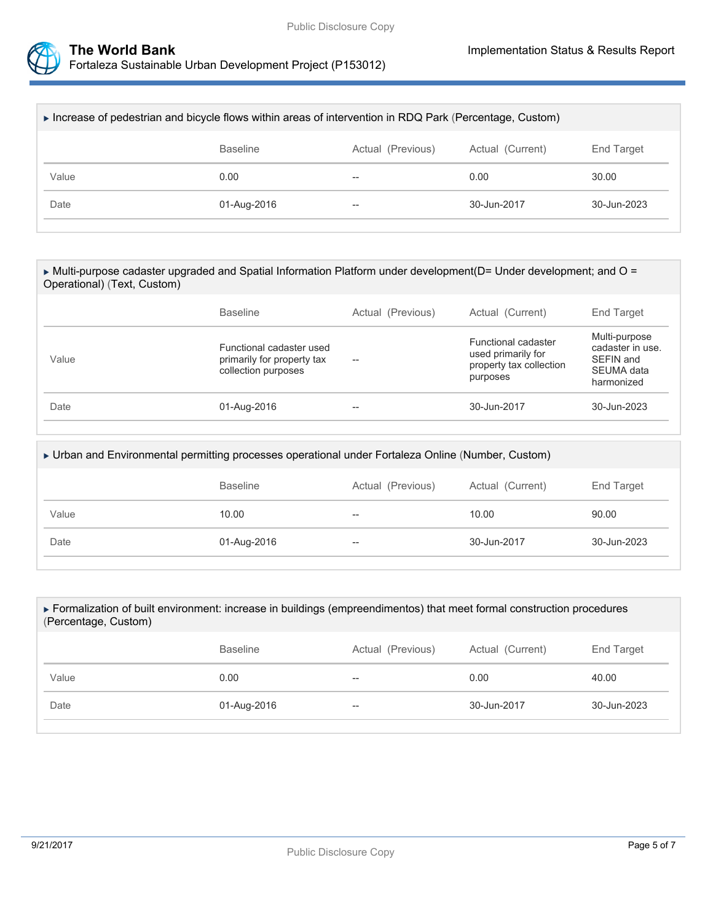



| ► Increase of pedestrian and bicycle flows within areas of intervention in RDQ Park (Percentage, Custom) |                                                                        |                   |             |                       |  |  |
|----------------------------------------------------------------------------------------------------------|------------------------------------------------------------------------|-------------------|-------------|-----------------------|--|--|
|                                                                                                          | Actual (Current)<br><b>Baseline</b><br>Actual (Previous)<br>End Target |                   |             |                       |  |  |
| Value                                                                                                    | 0.00                                                                   | --                | 0.00        | 30.00                 |  |  |
| Date                                                                                                     | 01-Aug-2016                                                            | $\hspace{0.05cm}$ | 30-Jun-2017 | $30 - \frac{1}{2023}$ |  |  |
|                                                                                                          |                                                                        |                   |             |                       |  |  |

| ► Multi-purpose cadaster upgraded and Spatial Information Platform under development( $D =$ Under development; and $O =$ |
|--------------------------------------------------------------------------------------------------------------------------|
| Operational) (Text, Custom)                                                                                              |

|       | <b>Baseline</b>                                                               | Actual (Previous)                                   | Actual (Current)                                                                 | End Target                                                                 |  |
|-------|-------------------------------------------------------------------------------|-----------------------------------------------------|----------------------------------------------------------------------------------|----------------------------------------------------------------------------|--|
| Value | Functional cadaster used<br>primarily for property tax<br>collection purposes | $\hspace{0.05cm} -\hspace{0.05cm} -\hspace{0.05cm}$ | Functional cadaster<br>used primarily for<br>property tax collection<br>purposes | Multi-purpose<br>cadaster in use.<br>SEFIN and<br>SEUMA data<br>harmonized |  |
| Date  | 01-Aug-2016                                                                   | $-$                                                 | 30-Jun-2017                                                                      | 30-Jun-2023                                                                |  |

| ▶ Urban and Environmental permitting processes operational under Fortaleza Online (Number, Custom) |                                                                        |    |       |       |  |  |
|----------------------------------------------------------------------------------------------------|------------------------------------------------------------------------|----|-------|-------|--|--|
|                                                                                                    | <b>Baseline</b><br>Actual (Previous)<br>Actual (Current)<br>End Target |    |       |       |  |  |
| Value                                                                                              | 10.00                                                                  | -- | 10.00 | 90.00 |  |  |
| Date<br>30-Jun-2017<br>30-Jun-2023<br>01-Aug-2016<br>$- -$                                         |                                                                        |    |       |       |  |  |
|                                                                                                    |                                                                        |    |       |       |  |  |

#### Formalization of built environment: increase in buildings (empreendimentos) that meet formal construction procedures (Percentage, Custom)

|       | <b>Baseline</b> | Actual (Previous)        | Actual (Current) | End Target  |
|-------|-----------------|--------------------------|------------------|-------------|
| Value | 0.00            | $\overline{\phantom{m}}$ | 0.00             | 40.00       |
| Date  | 01-Aug-2016     | $\hspace{0.05cm}$        | 30-Jun-2017      | 30-Jun-2023 |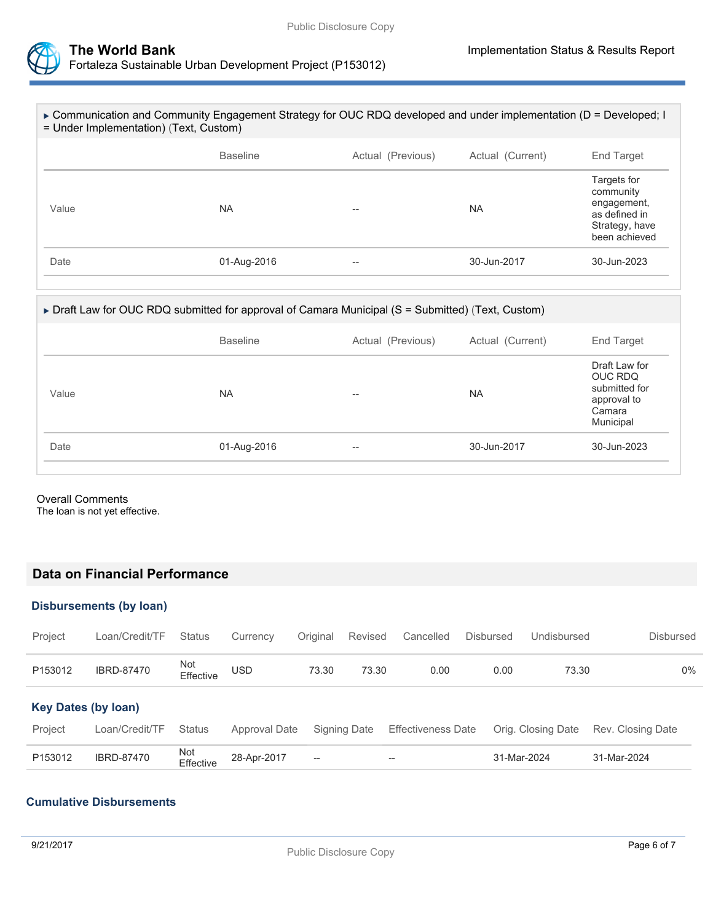



| $\triangleright$ Communication and Community Engagement Strategy for OUC RDQ developed and under implementation (D = Developed; I<br>= Under Implementation) (Text, Custom) |                 |                   |                  |                                                                                             |  |  |
|-----------------------------------------------------------------------------------------------------------------------------------------------------------------------------|-----------------|-------------------|------------------|---------------------------------------------------------------------------------------------|--|--|
|                                                                                                                                                                             | <b>Baseline</b> | Actual (Previous) | Actual (Current) | End Target                                                                                  |  |  |
| Value                                                                                                                                                                       | <b>NA</b>       | --                | <b>NA</b>        | Targets for<br>community<br>engagement,<br>as defined in<br>Strategy, have<br>been achieved |  |  |
| Date                                                                                                                                                                        | 01-Aug-2016     | --                | 30-Jun-2017      | 30-Jun-2023                                                                                 |  |  |

## ▶ Draft Law for OUC RDQ submitted for approval of Camara Municipal (S = Submitted) (Text, Custom)

|       | <b>Baseline</b> | Actual (Previous) | Actual (Current) | End Target                                                                      |
|-------|-----------------|-------------------|------------------|---------------------------------------------------------------------------------|
| Value | <b>NA</b>       | $-$               | <b>NA</b>        | Draft Law for<br>OUC RDQ<br>submitted for<br>approval to<br>Camara<br>Municipal |
| Date  | 01-Aug-2016     | $- -$             | 30-Jun-2017      | 30-Jun-2023                                                                     |
|       |                 |                   |                  |                                                                                 |

## Overall Comments

The loan is not yet effective.

## **Data on Financial Performance**

#### **Disbursements (by loan)**

| Project                    | Loan/Credit/TF    | <b>Status</b>    | Currency      | Original | Revised      | Cancelled                 | <b>Disbursed</b> | Undisbursed        | <b>Disbursed</b>  |
|----------------------------|-------------------|------------------|---------------|----------|--------------|---------------------------|------------------|--------------------|-------------------|
| P153012                    | <b>IBRD-87470</b> | Not<br>Effective | USD           | 73.30    | 73.30        | 0.00                      | 0.00             | 73.30              | 0%                |
| <b>Key Dates (by loan)</b> |                   |                  |               |          |              |                           |                  |                    |                   |
| Project                    | Loan/Credit/TF    | <b>Status</b>    | Approval Date |          | Signing Date | <b>Effectiveness Date</b> |                  | Orig. Closing Date | Rev. Closing Date |
| P153012                    | <b>IBRD-87470</b> | Not<br>Effective | 28-Apr-2017   | $-$      |              | --                        | 31-Mar-2024      |                    | 31-Mar-2024       |

## **Cumulative Disbursements**